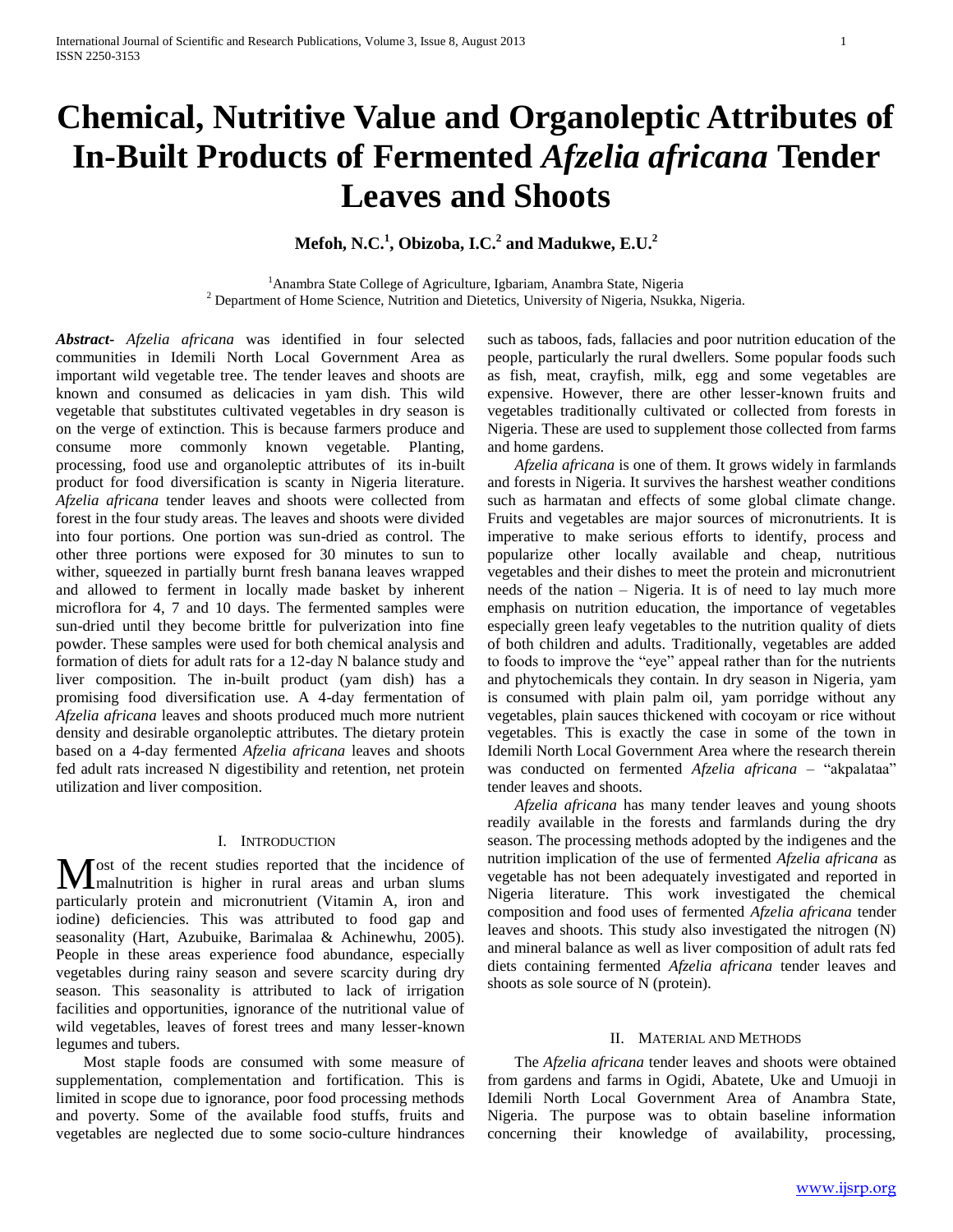# **Chemical, Nutritive Value and Organoleptic Attributes of In-Built Products of Fermented** *Afzelia africana* **Tender Leaves and Shoots**

**Mefoh, N.C.<sup>1</sup> , Obizoba, I.C.<sup>2</sup> and Madukwe, E.U.<sup>2</sup>**

<sup>1</sup> Anambra State College of Agriculture, Igbariam, Anambra State, Nigeria  $2$  Department of Home Science, Nutrition and Dietetics, University of Nigeria, Nsukka, Nigeria.

*Abstract***-** *Afzelia africana* was identified in four selected communities in Idemili North Local Government Area as important wild vegetable tree. The tender leaves and shoots are known and consumed as delicacies in yam dish. This wild vegetable that substitutes cultivated vegetables in dry season is on the verge of extinction. This is because farmers produce and consume more commonly known vegetable. Planting, processing, food use and organoleptic attributes of its in-built product for food diversification is scanty in Nigeria literature. *Afzelia africana* tender leaves and shoots were collected from forest in the four study areas. The leaves and shoots were divided into four portions. One portion was sun-dried as control. The other three portions were exposed for 30 minutes to sun to wither, squeezed in partially burnt fresh banana leaves wrapped and allowed to ferment in locally made basket by inherent microflora for 4, 7 and 10 days. The fermented samples were sun-dried until they become brittle for pulverization into fine powder. These samples were used for both chemical analysis and formation of diets for adult rats for a 12-day N balance study and liver composition. The in-built product (yam dish) has a promising food diversification use. A 4-day fermentation of *Afzelia africana* leaves and shoots produced much more nutrient density and desirable organoleptic attributes. The dietary protein based on a 4-day fermented *Afzelia africana* leaves and shoots fed adult rats increased N digestibility and retention, net protein utilization and liver composition.

## I. INTRODUCTION

ost of the recent studies reported that the incidence of Most of the recent studies reported that the incidence of malnutrition is higher in rural areas and urban slums particularly protein and micronutrient (Vitamin A, iron and iodine) deficiencies. This was attributed to food gap and seasonality (Hart, Azubuike, Barimalaa & Achinewhu, 2005). People in these areas experience food abundance, especially vegetables during rainy season and severe scarcity during dry season. This seasonality is attributed to lack of irrigation facilities and opportunities, ignorance of the nutritional value of wild vegetables, leaves of forest trees and many lesser-known legumes and tubers.

 Most staple foods are consumed with some measure of supplementation, complementation and fortification. This is limited in scope due to ignorance, poor food processing methods and poverty. Some of the available food stuffs, fruits and vegetables are neglected due to some socio-culture hindrances

such as taboos, fads, fallacies and poor nutrition education of the people, particularly the rural dwellers. Some popular foods such as fish, meat, crayfish, milk, egg and some vegetables are expensive. However, there are other lesser-known fruits and vegetables traditionally cultivated or collected from forests in Nigeria. These are used to supplement those collected from farms and home gardens.

 *Afzelia africana* is one of them. It grows widely in farmlands and forests in Nigeria. It survives the harshest weather conditions such as harmatan and effects of some global climate change. Fruits and vegetables are major sources of micronutrients. It is imperative to make serious efforts to identify, process and popularize other locally available and cheap, nutritious vegetables and their dishes to meet the protein and micronutrient needs of the nation – Nigeria. It is of need to lay much more emphasis on nutrition education, the importance of vegetables especially green leafy vegetables to the nutrition quality of diets of both children and adults. Traditionally, vegetables are added to foods to improve the "eye" appeal rather than for the nutrients and phytochemicals they contain. In dry season in Nigeria, yam is consumed with plain palm oil, yam porridge without any vegetables, plain sauces thickened with cocoyam or rice without vegetables. This is exactly the case in some of the town in Idemili North Local Government Area where the research therein was conducted on fermented *Afzelia africana* – "akpalataa" tender leaves and shoots.

 *Afzelia africana* has many tender leaves and young shoots readily available in the forests and farmlands during the dry season. The processing methods adopted by the indigenes and the nutrition implication of the use of fermented *Afzelia africana* as vegetable has not been adequately investigated and reported in Nigeria literature. This work investigated the chemical composition and food uses of fermented *Afzelia africana* tender leaves and shoots. This study also investigated the nitrogen (N) and mineral balance as well as liver composition of adult rats fed diets containing fermented *Afzelia africana* tender leaves and shoots as sole source of N (protein).

## II. MATERIAL AND METHODS

 The *Afzelia africana* tender leaves and shoots were obtained from gardens and farms in Ogidi, Abatete, Uke and Umuoji in Idemili North Local Government Area of Anambra State, Nigeria. The purpose was to obtain baseline information concerning their knowledge of availability, processing,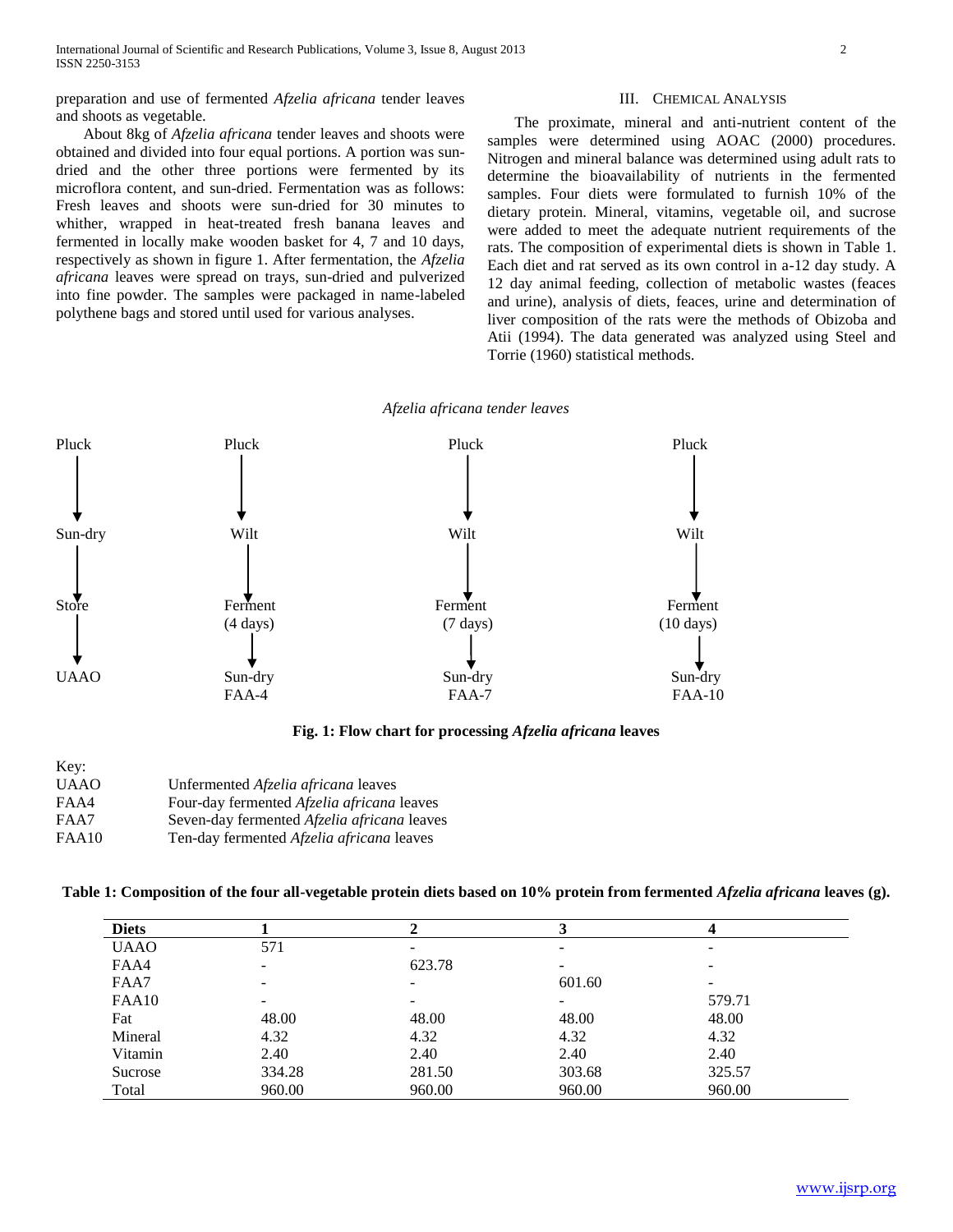preparation and use of fermented *Afzelia africana* tender leaves and shoots as vegetable.

 About 8kg of *Afzelia africana* tender leaves and shoots were obtained and divided into four equal portions. A portion was sundried and the other three portions were fermented by its microflora content, and sun-dried. Fermentation was as follows: Fresh leaves and shoots were sun-dried for 30 minutes to whither, wrapped in heat-treated fresh banana leaves and fermented in locally make wooden basket for 4, 7 and 10 days, respectively as shown in figure 1. After fermentation, the *Afzelia africana* leaves were spread on trays, sun-dried and pulverized into fine powder. The samples were packaged in name-labeled polythene bags and stored until used for various analyses.

#### III. CHEMICAL ANALYSIS

 The proximate, mineral and anti-nutrient content of the samples were determined using AOAC (2000) procedures. Nitrogen and mineral balance was determined using adult rats to determine the bioavailability of nutrients in the fermented samples. Four diets were formulated to furnish 10% of the dietary protein. Mineral, vitamins, vegetable oil, and sucrose were added to meet the adequate nutrient requirements of the rats. The composition of experimental diets is shown in Table 1. Each diet and rat served as its own control in a-12 day study. A 12 day animal feeding, collection of metabolic wastes (feaces and urine), analysis of diets, feaces, urine and determination of liver composition of the rats were the methods of Obizoba and Atii (1994). The data generated was analyzed using Steel and Torrie (1960) statistical methods.

#### *Afzelia africana tender leaves*



**Fig. 1: Flow chart for processing** *Afzelia africana* **leaves**

| Unfermented <i>Afzelia africana</i> leaves         |
|----------------------------------------------------|
| Four-day fermented <i>Afzelia africana</i> leaves  |
| Seven-day fermented <i>Afzelia africana</i> leaves |
|                                                    |

FAA10 Ten-day fermented *Afzelia africana* leaves

| Table 1: Composition of the four all-vegetable protein diets based on 10% protein from fermented Afzelia africana leaves (g). |  |  |
|-------------------------------------------------------------------------------------------------------------------------------|--|--|
|                                                                                                                               |  |  |

| <b>Diets</b> |        |        |        | 4      |  |
|--------------|--------|--------|--------|--------|--|
| <b>UAAO</b>  | 571    | -      |        | -      |  |
| FAA4         |        | 623.78 |        | -      |  |
| FAA7         | ۰      | -      | 601.60 | -      |  |
| FAA10        |        | -      |        | 579.71 |  |
| Fat          | 48.00  | 48.00  | 48.00  | 48.00  |  |
| Mineral      | 4.32   | 4.32   | 4.32   | 4.32   |  |
| Vitamin      | 2.40   | 2.40   | 2.40   | 2.40   |  |
| Sucrose      | 334.28 | 281.50 | 303.68 | 325.57 |  |
| Total        | 960.00 | 960.00 | 960.00 | 960.00 |  |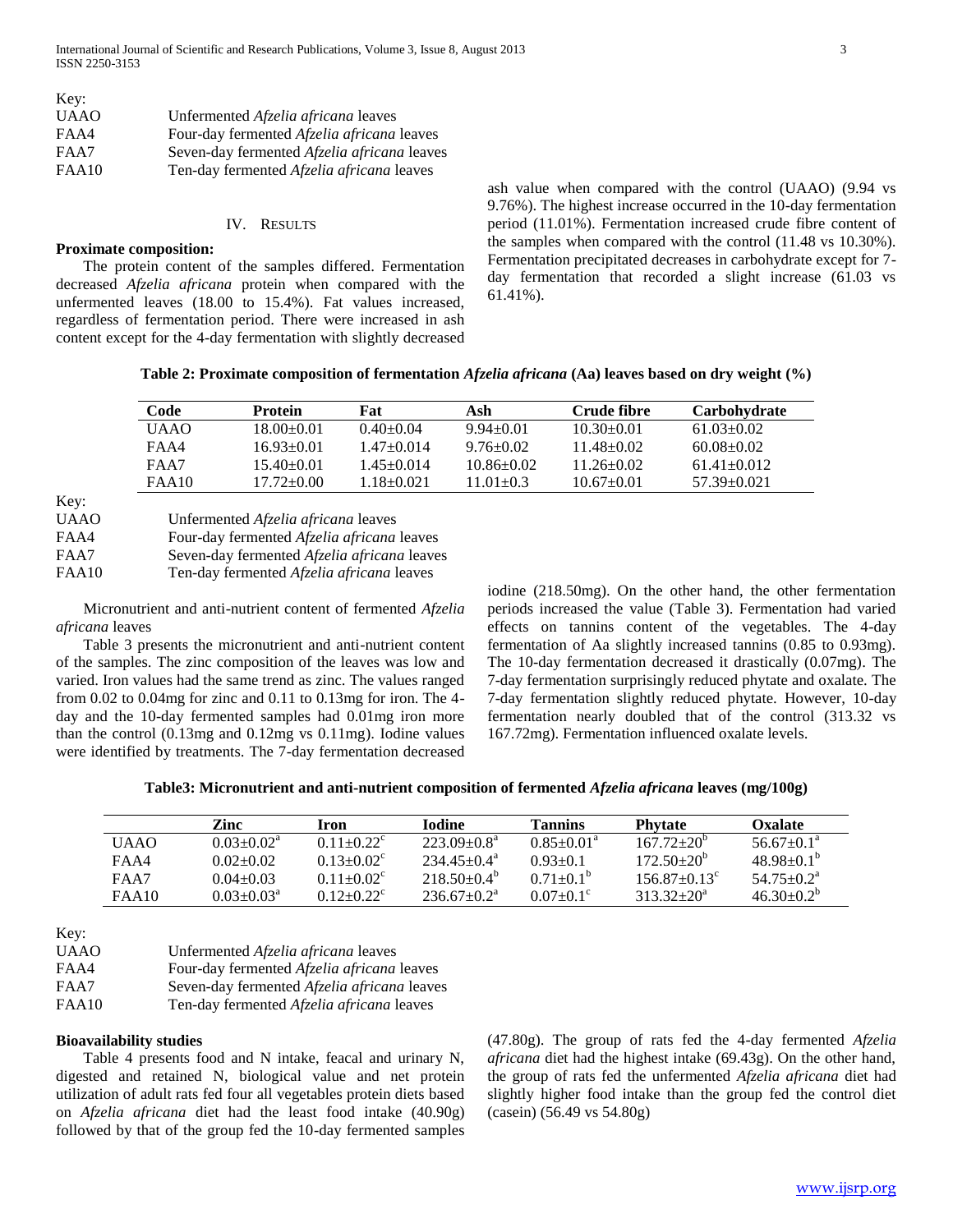| Key:        |                                                    |
|-------------|----------------------------------------------------|
| <b>UAAO</b> | Unfermented <i>Afzelia africana</i> leaves         |
| FAA4        | Four-day fermented <i>Afzelia africana</i> leaves  |
| FAA7        | Seven-day fermented <i>Afzelia africana</i> leaves |
| FAA10       | Ten-day fermented Afzelia africana leaves          |

#### IV. RESULTS

## **Proximate composition:**

 The protein content of the samples differed. Fermentation decreased *Afzelia africana* protein when compared with the unfermented leaves (18.00 to 15.4%). Fat values increased, regardless of fermentation period. There were increased in ash content except for the 4-day fermentation with slightly decreased ash value when compared with the control (UAAO) (9.94 vs 9.76%). The highest increase occurred in the 10-day fermentation period (11.01%). Fermentation increased crude fibre content of the samples when compared with the control (11.48 vs 10.30%). Fermentation precipitated decreases in carbohydrate except for 7 day fermentation that recorded a slight increase (61.03 vs 61.41%).

**Table 2: Proximate composition of fermentation** *Afzelia africana* **(Aa) leaves based on dry weight (%)**

| Code        | <b>Protein</b> | Fat            | Ash            | Crude fibre    | Carbohydrate    |
|-------------|----------------|----------------|----------------|----------------|-----------------|
| <b>UAAO</b> | 18.00+0.01     | $0.40 + 0.04$  | $9.94 + 0.01$  | $10.30 + 0.01$ | $61.03 + 0.02$  |
| FAA4        | 16.93+0.01     | $1.47 + 0.014$ | $9.76 + 0.02$  | $11.48 + 0.02$ | $60.08 + 0.02$  |
| FAA7        | $15.40 + 0.01$ | 1.45+0.014     | $10.86 + 0.02$ | $11.26 + 0.02$ | $61.41 + 0.012$ |
| FAA10       | 17.72+0.00     | 1.18+0.021     | $11.01 + 0.3$  | $10.67 + 0.01$ | $57.39 + 0.021$ |

Key:

| UAAO  | Unfermented <i>Afzelia africana</i> leaves         |
|-------|----------------------------------------------------|
| FAA4  | Four-day fermented <i>Afzelia africana</i> leaves  |
| FAA7  | Seven-day fermented <i>Afzelia africana</i> leaves |
| FAA10 | Ten-day fermented Afzelia africana leaves          |

 Micronutrient and anti-nutrient content of fermented *Afzelia africana* leaves

 Table 3 presents the micronutrient and anti-nutrient content of the samples. The zinc composition of the leaves was low and varied. Iron values had the same trend as zinc. The values ranged from 0.02 to 0.04mg for zinc and 0.11 to 0.13mg for iron. The 4 day and the 10-day fermented samples had 0.01mg iron more than the control (0.13mg and 0.12mg vs 0.11mg). Iodine values were identified by treatments. The 7-day fermentation decreased iodine (218.50mg). On the other hand, the other fermentation periods increased the value (Table 3). Fermentation had varied effects on tannins content of the vegetables. The 4-day fermentation of Aa slightly increased tannins (0.85 to 0.93mg). The 10-day fermentation decreased it drastically (0.07mg). The 7-day fermentation surprisingly reduced phytate and oxalate. The 7-day fermentation slightly reduced phytate. However, 10-day fermentation nearly doubled that of the control (313.32 vs 167.72mg). Fermentation influenced oxalate levels.

| Table3: Micronutrient and anti-nutrient composition of fermented Afzelia africana leaves (mg/100g) |  |  |
|----------------------------------------------------------------------------------------------------|--|--|
|                                                                                                    |  |  |

|       | Zinc            | Iron                  | <b>Lodine</b>    | <b>Tannins</b>         | <b>Phytate</b>    | <b>Oxalate</b>          |
|-------|-----------------|-----------------------|------------------|------------------------|-------------------|-------------------------|
| UAAO  | $0.03 + 0.02^a$ | $0.11 + 0.22^{\circ}$ | $223.09 + 0.8^a$ | $0.85+0.01^{\text{a}}$ | $16772+20^{6}$    | $56.67 \pm 0.1^{\circ}$ |
| FAA4  | $0.02 + 0.02$   | $0.13 + 0.02^c$       | $234.45 + 0.4^a$ | $0.93 + 0.1$           | $172.50+20^{6}$   | $48.98 + 0.1^{b}$       |
| FAA7  | $0.04 + 0.03$   | $0.11 + 0.02$ °       | $218,50+0.4^b$   | $0.71+0.1^b$           | $156.87 + 0.13^c$ | $54.75 + 0.2^a$         |
| FAA10 | $0.03 + 0.03^a$ | $0.12 + 0.22$ °       | $236.67+0.2^a$   | $0.07+0.1^{\circ}$     | $31332+20^a$      | $46.30 + 0.2^b$         |

Key:

| <b>UAAO</b> | Unfermented Afzelia africana leaves         |
|-------------|---------------------------------------------|
| FAA4        | Four-day fermented Afzelia africana leaves  |
| FAA7        | Seven-day fermented Afzelia africana leaves |
| FAA10       | Ten-day fermented Afzelia africana leaves   |

## **Bioavailability studies**

 Table 4 presents food and N intake, feacal and urinary N, digested and retained N, biological value and net protein utilization of adult rats fed four all vegetables protein diets based on *Afzelia africana* diet had the least food intake (40.90g) followed by that of the group fed the 10-day fermented samples (47.80g). The group of rats fed the 4-day fermented *Afzelia africana* diet had the highest intake (69.43g). On the other hand, the group of rats fed the unfermented *Afzelia africana* diet had slightly higher food intake than the group fed the control diet (casein) (56.49 vs 54.80g)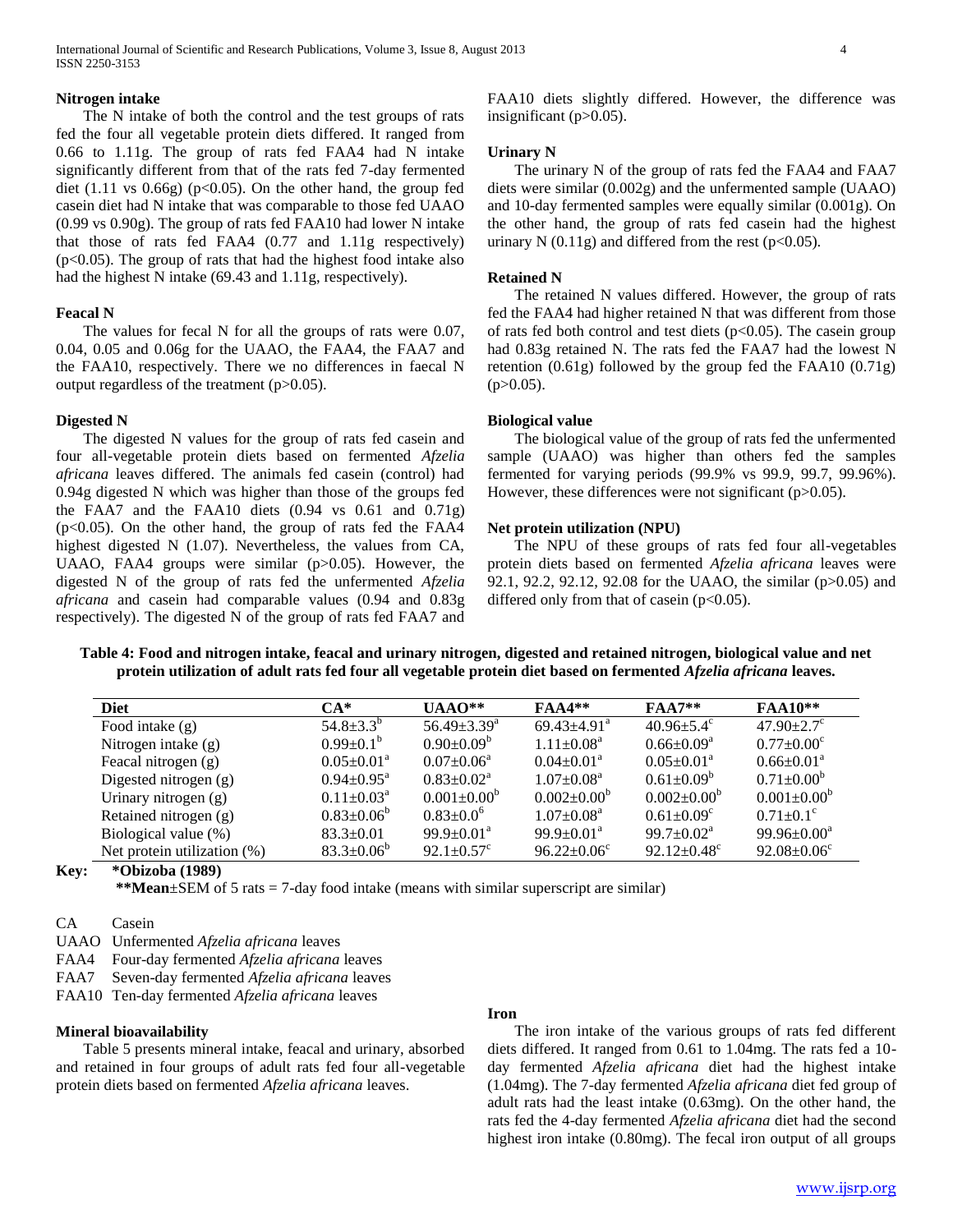International Journal of Scientific and Research Publications, Volume 3, Issue 8, August 2013 4 ISSN 2250-3153

#### **Nitrogen intake**

 The N intake of both the control and the test groups of rats fed the four all vegetable protein diets differed. It ranged from 0.66 to 1.11g. The group of rats fed FAA4 had N intake significantly different from that of the rats fed 7-day fermented diet (1.11 vs  $0.66g$ ) (p<0.05). On the other hand, the group fed casein diet had N intake that was comparable to those fed UAAO (0.99 vs 0.90g). The group of rats fed FAA10 had lower N intake that those of rats fed FAA4 (0.77 and 1.11g respectively) (p<0.05). The group of rats that had the highest food intake also had the highest N intake (69.43 and 1.11g, respectively).

#### **Feacal N**

 The values for fecal N for all the groups of rats were 0.07, 0.04, 0.05 and 0.06g for the UAAO, the FAA4, the FAA7 and the FAA10, respectively. There we no differences in faecal N output regardless of the treatment (p>0.05).

## **Digested N**

 The digested N values for the group of rats fed casein and four all-vegetable protein diets based on fermented *Afzelia africana* leaves differed. The animals fed casein (control) had 0.94g digested N which was higher than those of the groups fed the FAA7 and the FAA10 diets (0.94 vs 0.61 and 0.71g)  $(p<0.05)$ . On the other hand, the group of rats fed the FAA4 highest digested N (1.07). Nevertheless, the values from CA, UAAO, FAA4 groups were similar (p>0.05). However, the digested N of the group of rats fed the unfermented *Afzelia africana* and casein had comparable values (0.94 and 0.83g respectively). The digested N of the group of rats fed FAA7 and

FAA10 diets slightly differed. However, the difference was insignificant (p>0.05).

# **Urinary N**

 The urinary N of the group of rats fed the FAA4 and FAA7 diets were similar (0.002g) and the unfermented sample (UAAO) and 10-day fermented samples were equally similar (0.001g). On the other hand, the group of rats fed casein had the highest urinary N  $(0.11g)$  and differed from the rest (p<0.05).

#### **Retained N**

 The retained N values differed. However, the group of rats fed the FAA4 had higher retained N that was different from those of rats fed both control and test diets  $(p<0.05)$ . The casein group had 0.83g retained N. The rats fed the FAA7 had the lowest N retention (0.61g) followed by the group fed the FAA10 (0.71g)  $(p>0.05)$ .

#### **Biological value**

 The biological value of the group of rats fed the unfermented sample (UAAO) was higher than others fed the samples fermented for varying periods (99.9% vs 99.9, 99.7, 99.96%). However, these differences were not significant (p>0.05).

#### **Net protein utilization (NPU)**

 The NPU of these groups of rats fed four all-vegetables protein diets based on fermented *Afzelia africana* leaves were 92.1, 92.2, 92.12, 92.08 for the UAAO, the similar (p>0.05) and differed only from that of casein  $(p<0.05)$ .

**Table 4: Food and nitrogen intake, feacal and urinary nitrogen, digested and retained nitrogen, biological value and net protein utilization of adult rats fed four all vegetable protein diet based on fermented** *Afzelia africana* **leaves.**

| <b>Diet</b>                 | $CA*$                      | $\mathbf{UAAO^{**}}$          | $FAA4**$                      | $FAA7**$                      | <b>FAA10**</b>                |
|-----------------------------|----------------------------|-------------------------------|-------------------------------|-------------------------------|-------------------------------|
| Food intake $(g)$           | $54.8 \pm 3.3^{b}$         | $56.49 \pm 3.39$ <sup>a</sup> | $69.43 \pm 4.91$ <sup>a</sup> | $40.96 \pm 5.4$ <sup>c</sup>  | $47.90 + 2.7$ <sup>c</sup>    |
| Nitrogen intake $(g)$       | $0.99 \pm 0.1^b$           | $0.90 \pm 0.09^b$             | $1.11 \pm 0.08^a$             | $0.66 \pm 0.09^a$             | $0.77+0.00^{\circ}$           |
| Feacal nitrogen (g)         | $0.05 \pm 0.01^{\text{a}}$ | $0.07 \pm 0.06^a$             | $0.04 \pm 0.01$ <sup>a</sup>  | $0.05 \pm 0.01^{\text{a}}$    | $0.66 \pm 0.01^{\text{a}}$    |
| Digested nitrogen $(g)$     | $0.94 \pm 0.95^{\text{a}}$ | $0.83 \pm 0.02^a$             | $1.07 \pm 0.08^{\text{a}}$    | $0.61 \pm 0.09^b$             | $0.71 \pm 0.00^b$             |
| Urinary nitrogen (g)        | $0.11 \pm 0.03^{\text{a}}$ | $0.001 \pm 0.00^{\circ}$      | $0.002 \pm 0.00^{\circ}$      | $0.002 \pm 0.00^{\circ}$      | $0.001 \pm 0.00^{\circ}$      |
| Retained nitrogen (g)       | $0.83 \pm 0.06^b$          | $0.83 \pm 0.0^6$              | $1.07 \pm 0.08^{\text{a}}$    | $0.61 \pm 0.09$ <sup>c</sup>  | $0.71 \pm 0.1$ <sup>c</sup>   |
| Biological value (%)        | $83.3 \pm 0.01$            | $99.9 \pm 0.01^{\text{a}}$    | $99.9 \pm 0.01^{\text{a}}$    | $99.7 \pm 0.02^{\text{a}}$    | $99.96 \pm 0.00^{\circ}$      |
| Net protein utilization (%) | $83.3 \pm 0.06^b$          | 92.1 $\pm$ 0.57 $\textdegree$ | $96.22 \pm 0.06^{\circ}$      | $92.12 \pm 0.48$ <sup>c</sup> | $92.08 \pm 0.06$ <sup>c</sup> |

## **Key: \*Obizoba (1989)**

 **\*\*Mean**±SEM of 5 rats = 7-day food intake (means with similar superscript are similar)

CA Casein

- UAAO Unfermented *Afzelia africana* leaves
- FAA4 Four-day fermented *Afzelia africana* leaves
- FAA7 Seven-day fermented *Afzelia africana* leaves
- FAA10 Ten-day fermented *Afzelia africana* leaves

## **Mineral bioavailability**

 Table 5 presents mineral intake, feacal and urinary, absorbed and retained in four groups of adult rats fed four all-vegetable protein diets based on fermented *Afzelia africana* leaves.

## **Iron**

 The iron intake of the various groups of rats fed different diets differed. It ranged from 0.61 to 1.04mg. The rats fed a 10 day fermented *Afzelia africana* diet had the highest intake (1.04mg). The 7-day fermented *Afzelia africana* diet fed group of adult rats had the least intake (0.63mg). On the other hand, the rats fed the 4-day fermented *Afzelia africana* diet had the second highest iron intake (0.80mg). The fecal iron output of all groups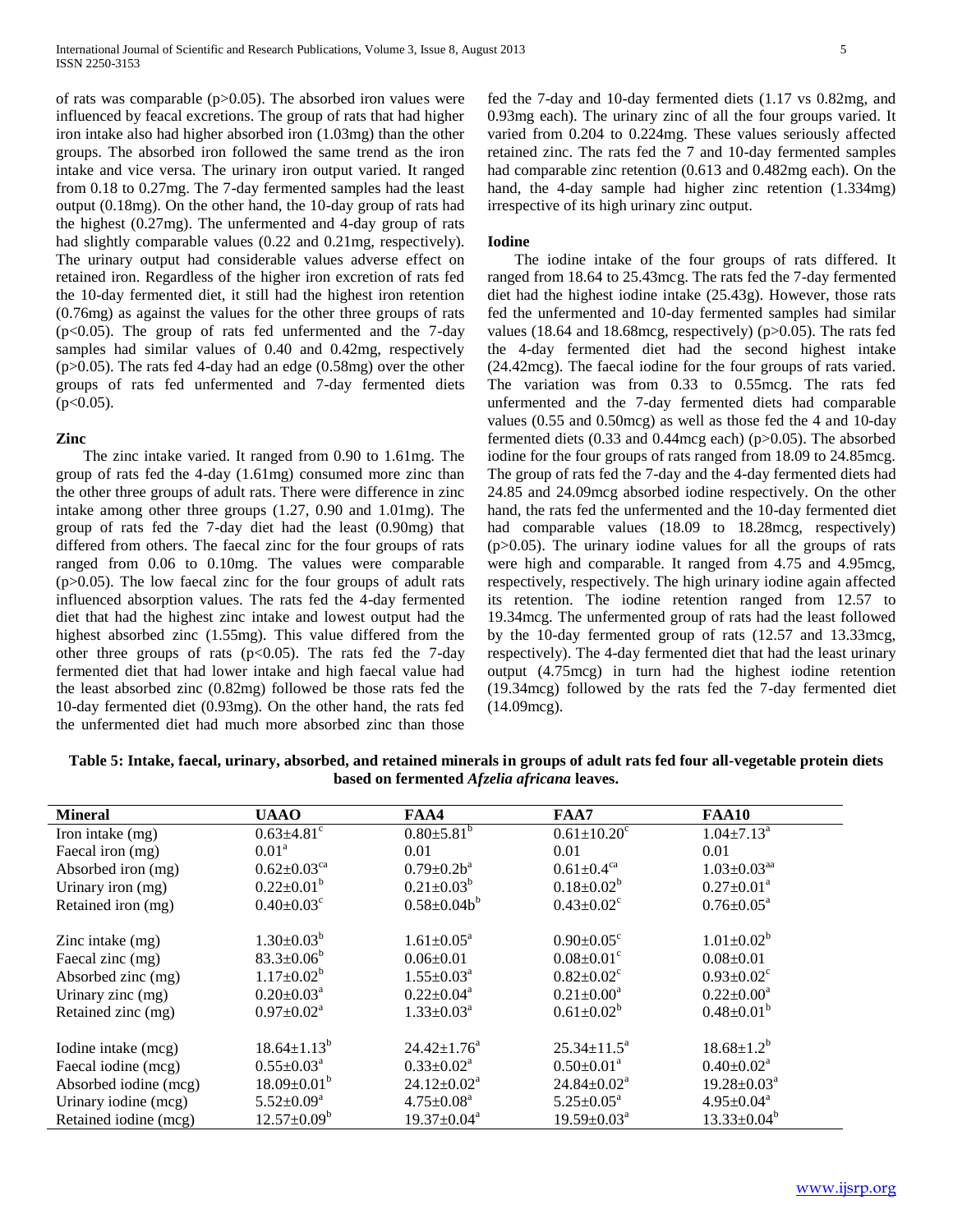of rats was comparable ( $p > 0.05$ ). The absorbed iron values were influenced by feacal excretions. The group of rats that had higher iron intake also had higher absorbed iron (1.03mg) than the other groups. The absorbed iron followed the same trend as the iron intake and vice versa. The urinary iron output varied. It ranged from 0.18 to 0.27mg. The 7-day fermented samples had the least output (0.18mg). On the other hand, the 10-day group of rats had the highest (0.27mg). The unfermented and 4-day group of rats had slightly comparable values (0.22 and 0.21mg, respectively). The urinary output had considerable values adverse effect on retained iron. Regardless of the higher iron excretion of rats fed the 10-day fermented diet, it still had the highest iron retention (0.76mg) as against the values for the other three groups of rats (p<0.05). The group of rats fed unfermented and the 7-day samples had similar values of 0.40 and 0.42mg, respectively (p>0.05). The rats fed 4-day had an edge (0.58mg) over the other groups of rats fed unfermented and 7-day fermented diets  $(p<0.05)$ .

## **Zinc**

 The zinc intake varied. It ranged from 0.90 to 1.61mg. The group of rats fed the 4-day (1.61mg) consumed more zinc than the other three groups of adult rats. There were difference in zinc intake among other three groups (1.27, 0.90 and 1.01mg). The group of rats fed the 7-day diet had the least (0.90mg) that differed from others. The faecal zinc for the four groups of rats ranged from 0.06 to 0.10mg. The values were comparable (p>0.05). The low faecal zinc for the four groups of adult rats influenced absorption values. The rats fed the 4-day fermented diet that had the highest zinc intake and lowest output had the highest absorbed zinc (1.55mg). This value differed from the other three groups of rats ( $p<0.05$ ). The rats fed the 7-day fermented diet that had lower intake and high faecal value had the least absorbed zinc (0.82mg) followed be those rats fed the 10-day fermented diet (0.93mg). On the other hand, the rats fed the unfermented diet had much more absorbed zinc than those

fed the 7-day and 10-day fermented diets (1.17 vs 0.82mg, and 0.93mg each). The urinary zinc of all the four groups varied. It varied from 0.204 to 0.224mg. These values seriously affected retained zinc. The rats fed the 7 and 10-day fermented samples had comparable zinc retention (0.613 and 0.482mg each). On the hand, the 4-day sample had higher zinc retention (1.334mg) irrespective of its high urinary zinc output.

## **Iodine**

 The iodine intake of the four groups of rats differed. It ranged from 18.64 to 25.43mcg. The rats fed the 7-day fermented diet had the highest iodine intake (25.43g). However, those rats fed the unfermented and 10-day fermented samples had similar values (18.64 and 18.68mcg, respectively) (p>0.05). The rats fed the 4-day fermented diet had the second highest intake (24.42mcg). The faecal iodine for the four groups of rats varied. The variation was from 0.33 to 0.55mcg. The rats fed unfermented and the 7-day fermented diets had comparable values (0.55 and 0.50mcg) as well as those fed the 4 and 10-day fermented diets (0.33 and 0.44mcg each) (p>0.05). The absorbed iodine for the four groups of rats ranged from 18.09 to 24.85mcg. The group of rats fed the 7-day and the 4-day fermented diets had 24.85 and 24.09mcg absorbed iodine respectively. On the other hand, the rats fed the unfermented and the 10-day fermented diet had comparable values (18.09 to 18.28mcg, respectively)  $(p>0.05)$ . The urinary iodine values for all the groups of rats were high and comparable. It ranged from 4.75 and 4.95mcg, respectively, respectively. The high urinary iodine again affected its retention. The iodine retention ranged from 12.57 to 19.34mcg. The unfermented group of rats had the least followed by the 10-day fermented group of rats (12.57 and 13.33mcg, respectively). The 4-day fermented diet that had the least urinary output (4.75mcg) in turn had the highest iodine retention (19.34mcg) followed by the rats fed the 7-day fermented diet (14.09mcg).

**Table 5: Intake, faecal, urinary, absorbed, and retained minerals in groups of adult rats fed four all-vegetable protein diets based on fermented** *Afzelia africana* **leaves.**

| <b>Mineral</b>        | <b>UAAO</b>                   | FAA4                         | FAA7                         | <b>FAA10</b>                  |
|-----------------------|-------------------------------|------------------------------|------------------------------|-------------------------------|
| Iron intake (mg)      | $0.63 \pm 4.81$ <sup>c</sup>  | $0.80 \pm 5.81$ <sup>b</sup> | $0.61 \pm 10.20^{\circ}$     | $1.04 \pm 7.13^{\text{a}}$    |
| Faecal iron (mg)      | 0.01 <sup>a</sup>             | 0.01                         | 0.01                         | 0.01                          |
| Absorbed iron (mg)    | $0.62 \pm 0.03$ <sup>ca</sup> | $0.79 \pm 0.2 b^a$           | $0.61 \pm 0.4$ <sup>ca</sup> | $1.03 \pm 0.03$ <sup>aa</sup> |
| Urinary iron (mg)     | $0.22 \pm 0.01^b$             | $0.21 \pm 0.03^b$            | $0.18 \pm 0.02^b$            | $0.27 \pm 0.01^a$             |
| Retained iron (mg)    | $0.40 \pm 0.03$ <sup>c</sup>  | $0.58 \pm 0.04 b^b$          | $0.43 \pm 0.02$ <sup>c</sup> | $0.76 \pm 0.05^{\text{a}}$    |
| Zinc intake $(mg)$    | $1.30 \pm 0.03^b$             | $1.61 \pm 0.05^{\text{a}}$   | $0.90 \pm 0.05$ <sup>c</sup> | $1.01 \pm 0.02^b$             |
| Faecal zinc (mg)      | $83.3 \pm 0.06^b$             | $0.06 \pm 0.01$              | $0.08 \pm 0.01$ <sup>c</sup> | $0.08 \pm 0.01$               |
| Absorbed zinc (mg)    | $1.17 \pm 0.02^b$             | $1.55 \pm 0.03^{\text{a}}$   | $0.82 \pm 0.02$ <sup>c</sup> | $0.93 \pm 0.02$ <sup>c</sup>  |
| Urinary zinc (mg)     | $0.20 \pm 0.03^a$             | $0.22 \pm 0.04^a$            | $0.21 \pm 0.00^a$            | $0.22 \pm 0.00^a$             |
| Retained zinc (mg)    | $0.97 \pm 0.02^{\text{a}}$    | $1.33 \pm 0.03^a$            | $0.61 \pm 0.02^b$            | $0.48 \pm 0.01^b$             |
|                       |                               |                              |                              |                               |
| Iodine intake (mcg)   | $18.64 \pm 1.13^b$            | $24.42 \pm 1.76^a$           | $25.34 \pm 11.5^a$           | $18.68 \pm 1.2^b$             |
| Faecal iodine (mcg)   | $0.55 \pm 0.03^{\text{a}}$    | $0.33 \pm 0.02^a$            | $0.50 \pm 0.01^{\text{a}}$   | $0.40 \pm 0.02^{\text{a}}$    |
| Absorbed iodine (mcg) | $18.09 \pm 0.01^{\rm b}$      | $24.12 \pm 0.02^a$           | $24.84 \pm 0.02^a$           | $19.28 \pm 0.03^a$            |
| Urinary iodine (mcg)  | $5.52 \pm 0.09^a$             | $4.75 \pm 0.08^{\text{a}}$   | $5.25 \pm 0.05^a$            | $4.95 \pm 0.04^a$             |
| Retained iodine (mcg) | $12.57 \pm 0.09^{\rm b}$      | $19.37 \pm 0.04^a$           | $19.59 \pm 0.03^{\text{a}}$  | $13.33 \pm 0.04^b$            |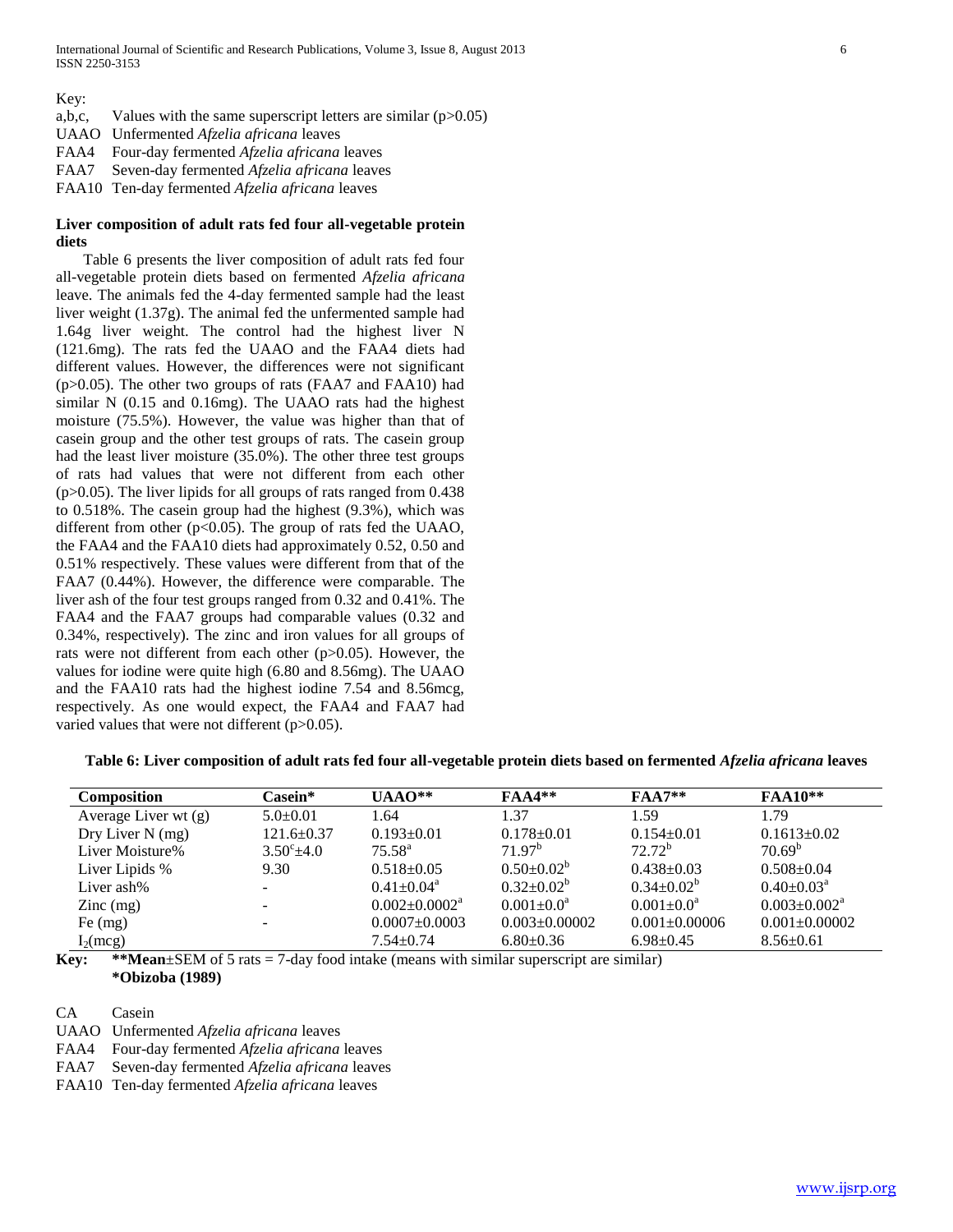Key:

- a,b,c, Values with the same superscript letters are similar  $(p>0.05)$
- UAAO Unfermented *Afzelia africana* leaves
- FAA4 Four-day fermented *Afzelia africana* leaves
- FAA7 Seven-day fermented *Afzelia africana* leaves
- FAA10 Ten-day fermented *Afzelia africana* leaves

# **Liver composition of adult rats fed four all-vegetable protein diets**

 Table 6 presents the liver composition of adult rats fed four all-vegetable protein diets based on fermented *Afzelia africana* leave. The animals fed the 4-day fermented sample had the least liver weight (1.37g). The animal fed the unfermented sample had 1.64g liver weight. The control had the highest liver N (121.6mg). The rats fed the UAAO and the FAA4 diets had different values. However, the differences were not significant (p>0.05). The other two groups of rats (FAA7 and FAA10) had similar N (0.15 and 0.16mg). The UAAO rats had the highest moisture (75.5%). However, the value was higher than that of casein group and the other test groups of rats. The casein group had the least liver moisture (35.0%). The other three test groups of rats had values that were not different from each other  $(p>0.05)$ . The liver lipids for all groups of rats ranged from 0.438 to 0.518%. The casein group had the highest (9.3%), which was different from other  $(p<0.05)$ . The group of rats fed the UAAO, the FAA4 and the FAA10 diets had approximately 0.52, 0.50 and 0.51% respectively. These values were different from that of the FAA7 (0.44%). However, the difference were comparable. The liver ash of the four test groups ranged from 0.32 and 0.41%. The FAA4 and the FAA7 groups had comparable values (0.32 and 0.34%, respectively). The zinc and iron values for all groups of rats were not different from each other (p>0.05). However, the values for iodine were quite high (6.80 and 8.56mg). The UAAO and the FAA10 rats had the highest iodine 7.54 and 8.56mcg, respectively. As one would expect, the FAA4 and FAA7 had varied values that were not different (p>0.05).

|  |  | Table 6: Liver composition of adult rats fed four all-vegetable protein diets based on fermented Afzelia africana leaves |
|--|--|--------------------------------------------------------------------------------------------------------------------------|
|  |  |                                                                                                                          |

| <b>Composition</b>   | Casein*             | $UAAO**$                        | $FAA4**$            | $FAA7**$          | <b>FAA10**</b>               |
|----------------------|---------------------|---------------------------------|---------------------|-------------------|------------------------------|
| Average Liver wt (g) | $5.0 \pm 0.01$      | 1.64                            | 1.37                | 1.59              | 1.79                         |
| Dry Liver $N$ (mg)   | $121.6 \pm 0.37$    | $0.193 \pm 0.01$                | $0.178 \pm 0.01$    | $0.154+0.01$      | $0.1613+0.02$                |
| Liver Moisture%      | $3.50^{\circ}$ +4.0 | $75.58^{\rm a}$                 | 71 97 <sup>b</sup>  | $72.72^b$         | 70.69 <sup>b</sup>           |
| Liver Lipids %       | 9.30                | $0.518 \pm 0.05$                | $0.50 \pm 0.02^b$   | $0.438 \pm 0.03$  | $0.508 \pm 0.04$             |
| Liver ash%           |                     | $0.41 \pm 0.04$ <sup>a</sup>    | $0.32 \pm 0.02^b$   | $0.34 \pm 0.02^b$ | $0.40 \pm 0.03^{\text{a}}$   |
| $\text{Zinc}$ (mg)   |                     | $0.002 \pm 0.0002$ <sup>a</sup> | $0.001 \pm 0.0^a$   | $0.001 \pm 0.0^a$ | $0.003 \pm 0.002^{\text{a}}$ |
| Fe $(mg)$            |                     | $0.0007 \pm 0.0003$             | $0.003 \pm 0.00002$ | $0.001 + 0.00006$ | $0.001 \pm 0.00002$          |
| $I_2$ (mcg)          |                     | $7.54 \pm 0.74$                 | $6.80\pm0.36$       | $6.98 \pm 0.45$   | $8.56 \pm 0.61$              |

**Key:** \*\***Mean**±SEM of 5 rats = 7-day food intake (means with similar superscript are similar) **\*Obizoba (1989)**

CA Casein

UAAO Unfermented *Afzelia africana* leaves

FAA4 Four-day fermented *Afzelia africana* leaves

FAA7 Seven-day fermented *Afzelia africana* leaves

FAA10 Ten-day fermented *Afzelia africana* leaves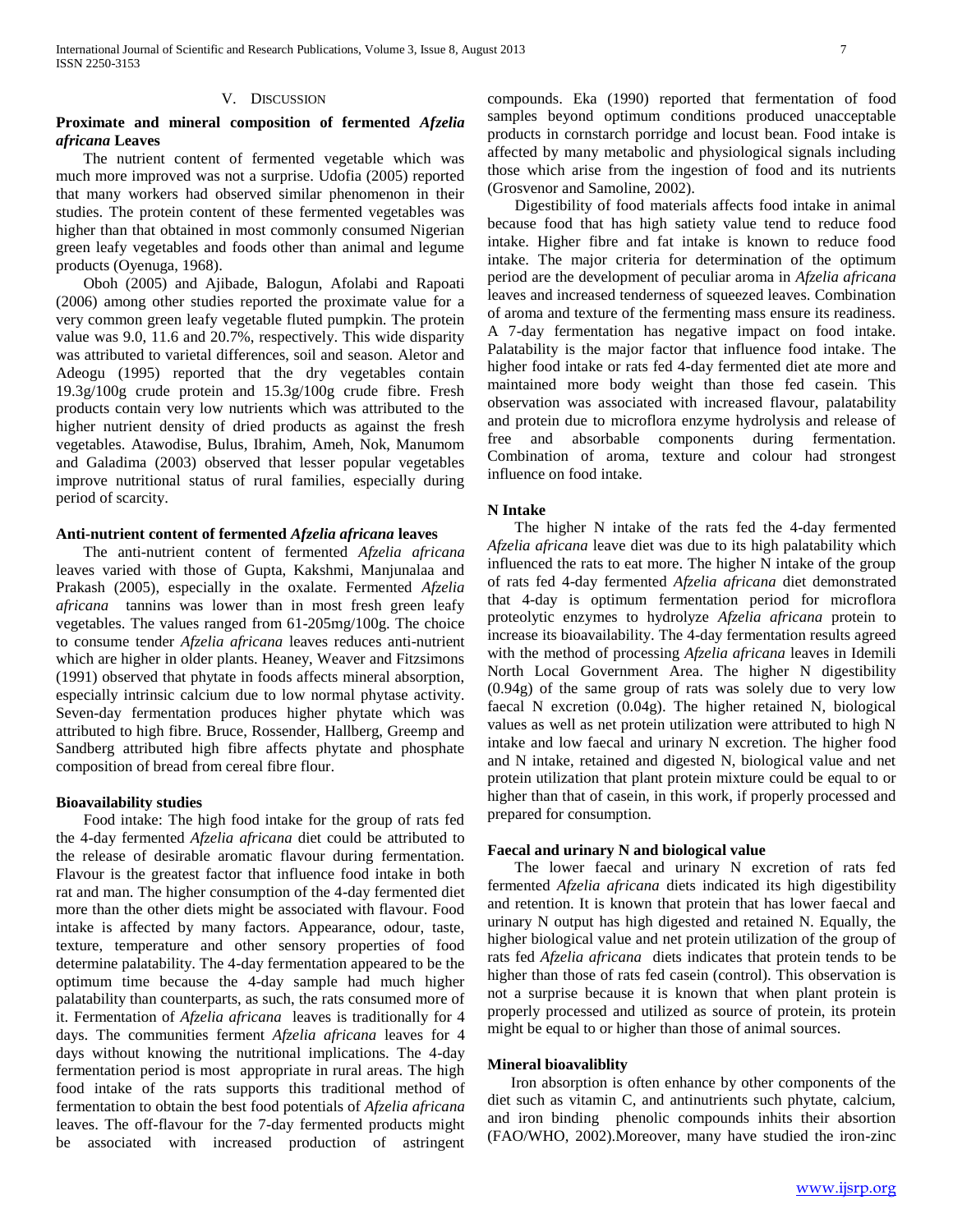## V. DISCUSSION

# **Proximate and mineral composition of fermented** *Afzelia africana* **Leaves**

 The nutrient content of fermented vegetable which was much more improved was not a surprise. Udofia (2005) reported that many workers had observed similar phenomenon in their studies. The protein content of these fermented vegetables was higher than that obtained in most commonly consumed Nigerian green leafy vegetables and foods other than animal and legume products (Oyenuga, 1968).

 Oboh (2005) and Ajibade, Balogun, Afolabi and Rapoati (2006) among other studies reported the proximate value for a very common green leafy vegetable fluted pumpkin. The protein value was 9.0, 11.6 and 20.7%, respectively. This wide disparity was attributed to varietal differences, soil and season. Aletor and Adeogu (1995) reported that the dry vegetables contain 19.3g/100g crude protein and 15.3g/100g crude fibre. Fresh products contain very low nutrients which was attributed to the higher nutrient density of dried products as against the fresh vegetables. Atawodise, Bulus, Ibrahim, Ameh, Nok, Manumom and Galadima (2003) observed that lesser popular vegetables improve nutritional status of rural families, especially during period of scarcity.

## **Anti-nutrient content of fermented** *Afzelia africana* **leaves**

 The anti-nutrient content of fermented *Afzelia africana*  leaves varied with those of Gupta, Kakshmi, Manjunalaa and Prakash (2005), especially in the oxalate. Fermented *Afzelia africana* tannins was lower than in most fresh green leafy vegetables. The values ranged from 61-205mg/100g. The choice to consume tender *Afzelia africana* leaves reduces anti-nutrient which are higher in older plants. Heaney, Weaver and Fitzsimons (1991) observed that phytate in foods affects mineral absorption, especially intrinsic calcium due to low normal phytase activity. Seven-day fermentation produces higher phytate which was attributed to high fibre. Bruce, Rossender, Hallberg, Greemp and Sandberg attributed high fibre affects phytate and phosphate composition of bread from cereal fibre flour.

## **Bioavailability studies**

 Food intake: The high food intake for the group of rats fed the 4-day fermented *Afzelia africana* diet could be attributed to the release of desirable aromatic flavour during fermentation. Flavour is the greatest factor that influence food intake in both rat and man. The higher consumption of the 4-day fermented diet more than the other diets might be associated with flavour. Food intake is affected by many factors. Appearance, odour, taste, texture, temperature and other sensory properties of food determine palatability. The 4-day fermentation appeared to be the optimum time because the 4-day sample had much higher palatability than counterparts, as such, the rats consumed more of it. Fermentation of *Afzelia africana* leaves is traditionally for 4 days. The communities ferment *Afzelia africana* leaves for 4 days without knowing the nutritional implications. The 4-day fermentation period is most appropriate in rural areas. The high food intake of the rats supports this traditional method of fermentation to obtain the best food potentials of *Afzelia africana*  leaves. The off-flavour for the 7-day fermented products might be associated with increased production of astringent

compounds. Eka (1990) reported that fermentation of food samples beyond optimum conditions produced unacceptable products in cornstarch porridge and locust bean. Food intake is affected by many metabolic and physiological signals including those which arise from the ingestion of food and its nutrients (Grosvenor and Samoline, 2002).

 Digestibility of food materials affects food intake in animal because food that has high satiety value tend to reduce food intake. Higher fibre and fat intake is known to reduce food intake. The major criteria for determination of the optimum period are the development of peculiar aroma in *Afzelia africana*  leaves and increased tenderness of squeezed leaves. Combination of aroma and texture of the fermenting mass ensure its readiness. A 7-day fermentation has negative impact on food intake. Palatability is the major factor that influence food intake. The higher food intake or rats fed 4-day fermented diet ate more and maintained more body weight than those fed casein. This observation was associated with increased flavour, palatability and protein due to microflora enzyme hydrolysis and release of free and absorbable components during fermentation. Combination of aroma, texture and colour had strongest influence on food intake.

#### **N Intake**

 The higher N intake of the rats fed the 4-day fermented *Afzelia africana* leave diet was due to its high palatability which influenced the rats to eat more. The higher N intake of the group of rats fed 4-day fermented *Afzelia africana* diet demonstrated that 4-day is optimum fermentation period for microflora proteolytic enzymes to hydrolyze *Afzelia africana* protein to increase its bioavailability. The 4-day fermentation results agreed with the method of processing *Afzelia africana* leaves in Idemili North Local Government Area. The higher N digestibility (0.94g) of the same group of rats was solely due to very low faecal N excretion (0.04g). The higher retained N, biological values as well as net protein utilization were attributed to high N intake and low faecal and urinary N excretion. The higher food and N intake, retained and digested N, biological value and net protein utilization that plant protein mixture could be equal to or higher than that of casein, in this work, if properly processed and prepared for consumption.

## **Faecal and urinary N and biological value**

 The lower faecal and urinary N excretion of rats fed fermented *Afzelia africana* diets indicated its high digestibility and retention. It is known that protein that has lower faecal and urinary N output has high digested and retained N. Equally, the higher biological value and net protein utilization of the group of rats fed *Afzelia africana* diets indicates that protein tends to be higher than those of rats fed casein (control). This observation is not a surprise because it is known that when plant protein is properly processed and utilized as source of protein, its protein might be equal to or higher than those of animal sources.

## **Mineral bioavaliblity**

 Iron absorption is often enhance by other components of the diet such as vitamin C, and antinutrients such phytate, calcium, and iron binding phenolic compounds inhits their absortion (FAO/WHO, 2002).Moreover, many have studied the iron-zinc